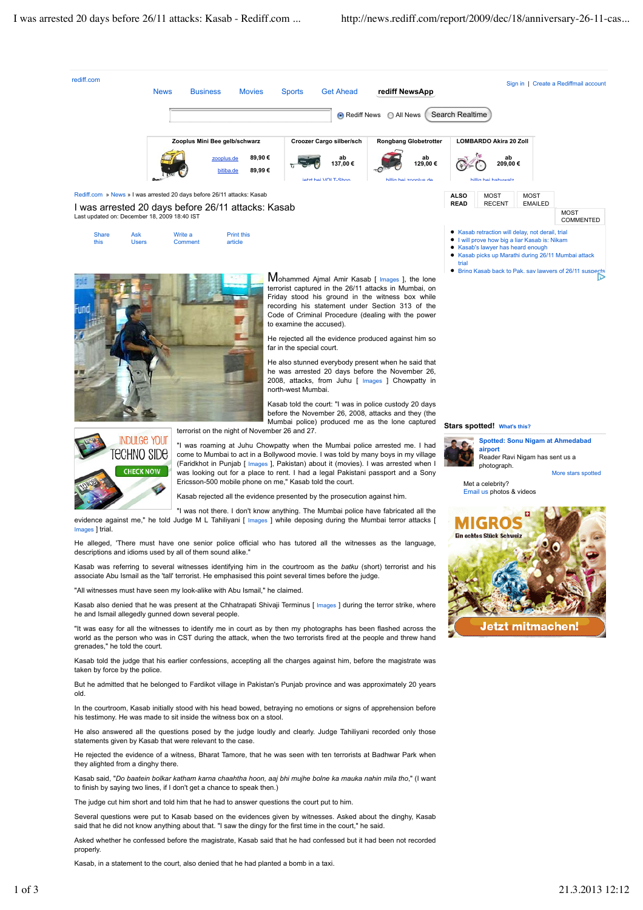

Kasab, in a statement to the court, also denied that he had planted a bomb in a taxi.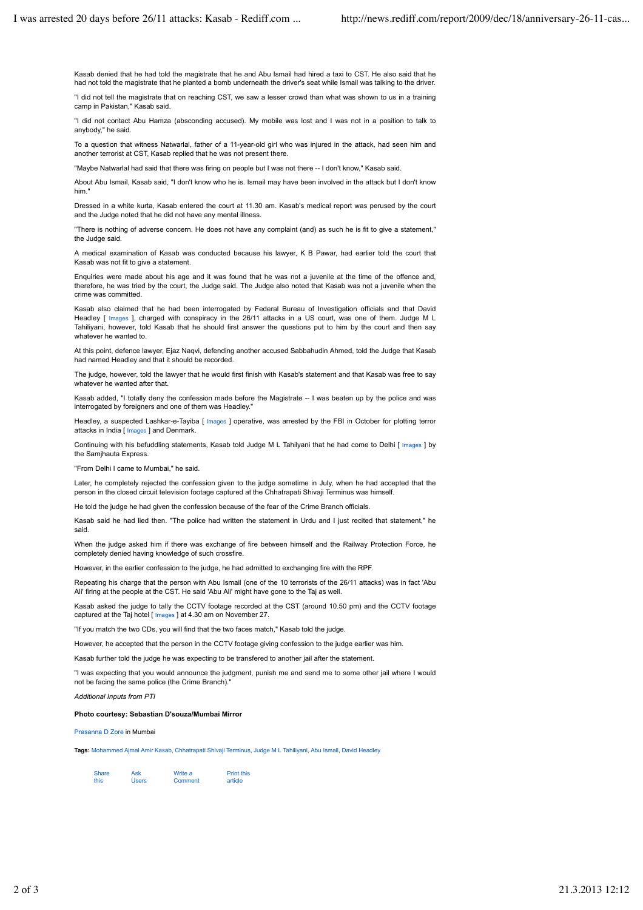Kasab denied that he had told the magistrate that he and Abu Ismail had hired a taxi to CST. He also said that he had not told the magistrate that he planted a bomb underneath the driver's seat while Ismail was talking to the driver.

"I did not tell the magistrate that on reaching CST, we saw a lesser crowd than what was shown to us in a training camp in Pakistan," Kasab said.

"I did not contact Abu Hamza (absconding accused). My mobile was lost and I was not in a position to talk to anybody," he said.

To a question that witness Natwarlal, father of a 11-year-old girl who was injured in the attack, had seen him and another terrorist at CST, Kasab replied that he was not present there.

"Maybe Natwarlal had said that there was firing on people but I was not there -- I don't know," Kasab said.

About Abu Ismail, Kasab said, "I don't know who he is. Ismail may have been involved in the attack but I don't know him."

Dressed in a white kurta, Kasab entered the court at 11.30 am. Kasab's medical report was perused by the court and the Judge noted that he did not have any mental illness.

"There is nothing of adverse concern. He does not have any complaint (and) as such he is fit to give a statement," the Judge said.

A medical examination of Kasab was conducted because his lawyer, K B Pawar, had earlier told the court that Kasab was not fit to give a statement.

Enquiries were made about his age and it was found that he was not a juvenile at the time of the offence and, therefore, he was tried by the court, the Judge said. The Judge also noted that Kasab was not a juvenile when the crime was committed.

Kasab also claimed that he had been interrogated by Federal Bureau of Investigation officials and that David Headley [ Images ], charged with conspiracy in the 26/11 attacks in a US court, was one of them. Judge M L Tahiliyani, however, told Kasab that he should first answer the questions put to him by the court and then say whatever he wanted to.

At this point, defence lawyer, Ejaz Naqvi, defending another accused Sabbahudin Ahmed, told the Judge that Kasab had named Headley and that it should be recorded.

The judge, however, told the lawyer that he would first finish with Kasab's statement and that Kasab was free to say whatever he wanted after that.

Kasab added, "I totally deny the confession made before the Magistrate -- I was beaten up by the police and was interrogated by foreigners and one of them was Headley."

Headley, a suspected Lashkar-e-Tayiba [ Images ] operative, was arrested by the FBI in October for plotting terror attacks in India [ Images ] and Denmark.

Continuing with his befuddling statements, Kasab told Judge M L Tahilyani that he had come to Delhi [ Images ] by the Samihauta Express.

"From Delhi I came to Mumbai," he said.

Later, he completely rejected the confession given to the judge sometime in July, when he had accepted that the person in the closed circuit television footage captured at the Chhatrapati Shivaji Terminus was himself.

He told the judge he had given the confession because of the fear of the Crime Branch officials.

Kasab said he had lied then. "The police had written the statement in Urdu and I just recited that statement," he said.

When the judge asked him if there was exchange of fire between himself and the Railway Protection Force, he completely denied having knowledge of such crossfire.

However, in the earlier confession to the judge, he had admitted to exchanging fire with the RPF.

Repeating his charge that the person with Abu Ismail (one of the 10 terrorists of the 26/11 attacks) was in fact 'Abu Ali' firing at the people at the CST. He said 'Abu Ali' might have gone to the Taj as well.

Kasab asked the judge to tally the CCTV footage recorded at the CST (around 10.50 pm) and the CCTV footage captured at the Taj hotel [ Images ] at 4.30 am on November 27.

"If you match the two CDs, you will find that the two faces match," Kasab told the judge.

However, he accepted that the person in the CCTV footage giving confession to the judge earlier was him.

Kasab further told the judge he was expecting to be transfered to another jail after the statement.

"I was expecting that you would announce the judgment, punish me and send me to some other jail where I would not be facing the same police (the Crime Branch)."

*Additional Inputs from PTI*

## **Photo courtesy: Sebastian D'souza/Mumbai Mirror**

Prasanna D Zore in Mumbai

**Tags:** Mohammed Ajmal Amir Kasab, Chhatrapati Shivaji Terminus, Judge M L Tahiliyani, Abu Ismail, David Headley

| <b>Share</b> | Ask          | Write a | <b>Print this</b> |
|--------------|--------------|---------|-------------------|
| this         | <b>Users</b> | Comment | article           |